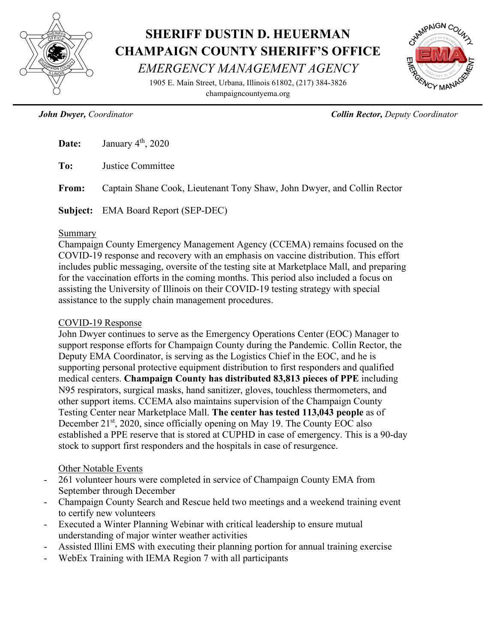

# **SHERIFF DUSTIN D. HEUERMAN CHAMPAIGN COUNTY SHERIFF'S OFFICE** *EMERGENCY MANAGEMENT AGENCY*

1905 E. Main Street, Urbana, Illinois 61802, (217) 384-3826 champaigncountyema.org



*John Dwyer, Coordinator Collin Rector, Deputy Coordinator*

|       | <b>Date:</b> January $4th$ , 2020                                       |
|-------|-------------------------------------------------------------------------|
| To:   | Justice Committee                                                       |
| From: | Captain Shane Cook, Lieutenant Tony Shaw, John Dwyer, and Collin Rector |
|       | <b>Subject:</b> EMA Board Report (SEP-DEC)                              |

#### Summary

Champaign County Emergency Management Agency (CCEMA) remains focused on the COVID-19 response and recovery with an emphasis on vaccine distribution. This effort includes public messaging, oversite of the testing site at Marketplace Mall, and preparing for the vaccination efforts in the coming months. This period also included a focus on assisting the University of Illinois on their COVID-19 testing strategy with special assistance to the supply chain management procedures.

### COVID-19 Response

John Dwyer continues to serve as the Emergency Operations Center (EOC) Manager to support response efforts for Champaign County during the Pandemic. Collin Rector, the Deputy EMA Coordinator, is serving as the Logistics Chief in the EOC, and he is supporting personal protective equipment distribution to first responders and qualified medical centers. **Champaign County has distributed 83,813 pieces of PPE** including N95 respirators, surgical masks, hand sanitizer, gloves, touchless thermometers, and other support items. CCEMA also maintains supervision of the Champaign County Testing Center near Marketplace Mall. **The center has tested 113,043 people** as of December  $21<sup>st</sup>$ , 2020, since officially opening on May 19. The County EOC also established a PPE reserve that is stored at CUPHD in case of emergency. This is a 90-day stock to support first responders and the hospitals in case of resurgence.

# Other Notable Events

- 261 volunteer hours were completed in service of Champaign County EMA from September through December
- Champaign County Search and Rescue held two meetings and a weekend training event to certify new volunteers
- Executed a Winter Planning Webinar with critical leadership to ensure mutual understanding of major winter weather activities
- Assisted Illini EMS with executing their planning portion for annual training exercise
- WebEx Training with IEMA Region 7 with all participants